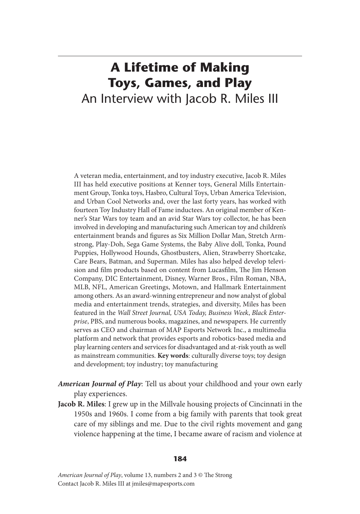## **A Lifetime of Making Toys, Games, and Play** An Interview with Jacob R. Miles III

A veteran media, entertainment, and toy industry executive, Jacob R. Miles III has held executive positions at Kenner toys, General Mills Entertainment Group, Tonka toys, Hasbro, Cultural Toys, Urban America Television, and Urban Cool Networks and, over the last forty years, has worked with fourteen Toy Industry Hall of Fame inductees. An original member of Kenner's Star Wars toy team and an avid Star Wars toy collector, he has been involved in developing and manufacturing such American toy and children's entertainment brands and figures as Six Million Dollar Man, Stretch Armstrong, Play-Doh, Sega Game Systems, the Baby Alive doll, Tonka, Pound Puppies, Hollywood Hounds, Ghostbusters, Alien, Strawberry Shortcake, Care Bears, Batman, and Superman. Miles has also helped develop television and film products based on content from Lucasfilm, The Jim Henson Company, DIC Entertainment, Disney, Warner Bros., Film Roman, NBA, MLB, NFL, American Greetings, Motown, and Hallmark Entertainment among others. As an award-winning entrepreneur and now analyst of global media and entertainment trends, strategies, and diversity, Miles has been featured in the *Wall Street Journal, USA Today, Business Week*, *Black Enterprise*, PBS, and numerous books, magazines, and newspapers. He currently serves as CEO and chairman of MAP Esports Network Inc., a multimedia platform and network that provides esports and robotics-based media and play learning centers and services for disadvantaged and at-risk youth as well as mainstream communities. **Key words**: culturally diverse toys; toy design and development; toy industry; toy manufacturing

- *American Journal of Play*: Tell us about your childhood and your own early play experiences.
- **Jacob R. Miles**: I grew up in the Millvale housing projects of Cincinnati in the 1950s and 1960s. I come from a big family with parents that took great care of my siblings and me. Due to the civil rights movement and gang violence happening at the time, I became aware of racism and violence at

## **184**

*American Journal of Play*, volume 13, numbers 2 and 3 © The Strong Contact Jacob R. Miles III at jmiles@mapesports.com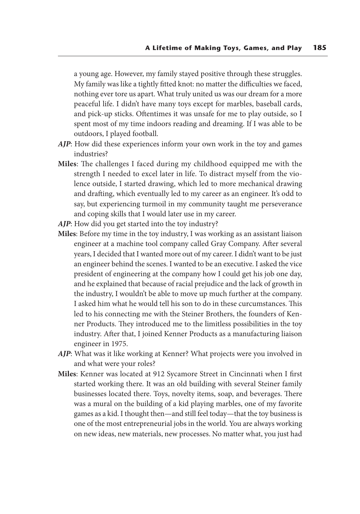a young age. However, my family stayed positive through these struggles. My family was like a tightly fitted knot: no matter the difficulties we faced, nothing ever tore us apart. What truly united us was our dream for a more peaceful life. I didn't have many toys except for marbles, baseball cards, and pick-up sticks. Oftentimes it was unsafe for me to play outside, so I spent most of my time indoors reading and dreaming. If I was able to be outdoors, I played football.

- *AJP*: How did these experiences inform your own work in the toy and games industries?
- **Miles**: The challenges I faced during my childhood equipped me with the strength I needed to excel later in life. To distract myself from the violence outside, I started drawing, which led to more mechanical drawing and drafting, which eventually led to my career as an engineer. It's odd to say, but experiencing turmoil in my community taught me perseverance and coping skills that I would later use in my career.
- *AJP*: How did you get started into the toy industry?
- **Miles**: Before my time in the toy industry, I was working as an assistant liaison engineer at a machine tool company called Gray Company. After several years, I decided that I wanted more out of my career. I didn't want to be just an engineer behind the scenes. I wanted to be an executive. I asked the vice president of engineering at the company how I could get his job one day, and he explained that because of racial prejudice and the lack of growth in the industry, I wouldn't be able to move up much further at the company. I asked him what he would tell his son to do in these curcumstances. This led to his connecting me with the Steiner Brothers, the founders of Kenner Products. They introduced me to the limitless possibilities in the toy industry. After that, I joined Kenner Products as a manufacturing liaison engineer in 1975.
- *AJP*: What was it like working at Kenner? What projects were you involved in and what were your roles?
- **Miles**: Kenner was located at 912 Sycamore Street in Cincinnati when I first started working there. It was an old building with several Steiner family businesses located there. Toys, novelty items, soap, and beverages. There was a mural on the building of a kid playing marbles, one of my favorite games as a kid. I thought then—and still feel today—that the toy business is one of the most entrepreneurial jobs in the world. You are always working on new ideas, new materials, new processes. No matter what, you just had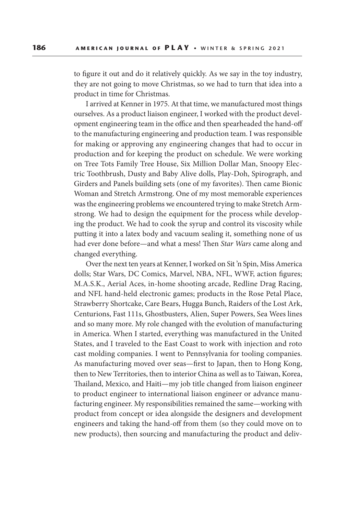to figure it out and do it relatively quickly. As we say in the toy industry, they are not going to move Christmas, so we had to turn that idea into a product in time for Christmas.

 I arrived at Kenner in 1975. At that time, we manufactured most things ourselves. As a product liaison engineer, I worked with the product development engineering team in the office and then spearheaded the hand-off to the manufacturing engineering and production team. I was responsible for making or approving any engineering changes that had to occur in production and for keeping the product on schedule. We were working on Tree Tots Family Tree House, Six Million Dollar Man, Snoopy Electric Toothbrush, Dusty and Baby Alive dolls, Play-Doh, Spirograph, and Girders and Panels building sets (one of my favorites). Then came Bionic Woman and Stretch Armstrong. One of my most memorable experiences was the engineering problems we encountered trying to make Stretch Armstrong. We had to design the equipment for the process while developing the product. We had to cook the syrup and control its viscosity while putting it into a latex body and vacuum sealing it, something none of us had ever done before—and what a mess! Then *Star Wars* came along and changed everything.

 Over the next ten years at Kenner, I worked on Sit 'n Spin, Miss America dolls; Star Wars, DC Comics, Marvel, NBA, NFL, WWF, action figures; M.A.S.K., Aerial Aces, in-home shooting arcade, Redline Drag Racing, and NFL hand-held electronic games; products in the Rose Petal Place, Strawberry Shortcake, Care Bears, Hugga Bunch, Raiders of the Lost Ark, Centurions, Fast 111s, Ghostbusters, Alien, Super Powers, Sea Wees lines and so many more. My role changed with the evolution of manufacturing in America. When I started, everything was manufactured in the United States, and I traveled to the East Coast to work with injection and roto cast molding companies. I went to Pennsylvania for tooling companies. As manufacturing moved over seas—first to Japan, then to Hong Kong, then to New Territories, then to interior China as well as to Taiwan, Korea, Thailand, Mexico, and Haiti—my job title changed from liaison engineer to product engineer to international liaison engineer or advance manufacturing engineer. My responsibilities remained the same—working with product from concept or idea alongside the designers and development engineers and taking the hand-off from them (so they could move on to new products), then sourcing and manufacturing the product and deliv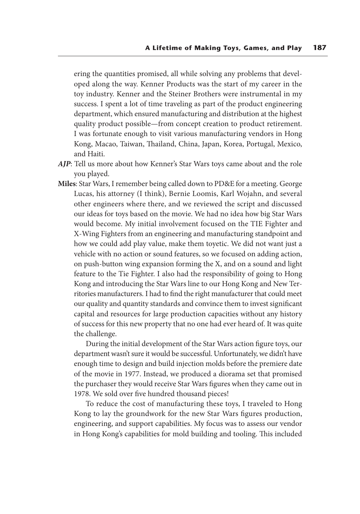ering the quantities promised, all while solving any problems that developed along the way. Kenner Products was the start of my career in the toy industry. Kenner and the Steiner Brothers were instrumental in my success. I spent a lot of time traveling as part of the product engineering department, which ensured manufacturing and distribution at the highest quality product possible—from concept creation to product retirement. I was fortunate enough to visit various manufacturing vendors in Hong Kong, Macao, Taiwan, Thailand, China, Japan, Korea, Portugal, Mexico, and Haiti.

- *AJP*: Tell us more about how Kenner's Star Wars toys came about and the role you played.
- **Miles**: Star Wars, I remember being called down to PD&E for a meeting. George Lucas, his attorney (I think), Bernie Loomis, Karl Wojahn, and several other engineers where there, and we reviewed the script and discussed our ideas for toys based on the movie. We had no idea how big Star Wars would become. My initial involvement focused on the TIE Fighter and X-Wing Fighters from an engineering and manufacturing standpoint and how we could add play value, make them toyetic. We did not want just a vehicle with no action or sound features, so we focused on adding action, on push-button wing expansion forming the X, and on a sound and light feature to the Tie Fighter. I also had the responsibility of going to Hong Kong and introducing the Star Wars line to our Hong Kong and New Territories manufacturers. I had to find the right manufacturer that could meet our quality and quantity standards and convince them to invest significant capital and resources for large production capacities without any history of success for this new property that no one had ever heard of. It was quite the challenge.

 During the initial development of the Star Wars action figure toys, our department wasn't sure it would be successful. Unfortunately, we didn't have enough time to design and build injection molds before the premiere date of the movie in 1977. Instead, we produced a diorama set that promised the purchaser they would receive Star Wars figures when they came out in 1978. We sold over five hundred thousand pieces!

 To reduce the cost of manufacturing these toys, I traveled to Hong Kong to lay the groundwork for the new Star Wars figures production, engineering, and support capabilities. My focus was to assess our vendor in Hong Kong's capabilities for mold building and tooling. This included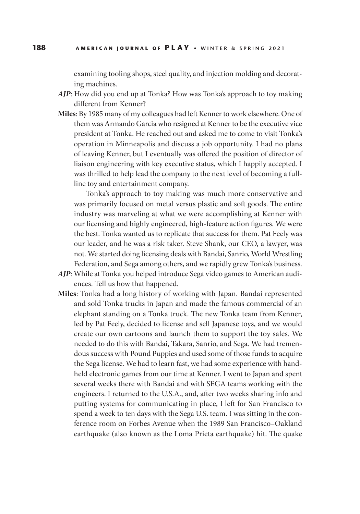examining tooling shops, steel quality, and injection molding and decorating machines.

- *AJP*: How did you end up at Tonka? How was Tonka's approach to toy making different from Kenner?
- **Miles**: By 1985 many of my colleagues had left Kenner to work elsewhere. One of them was Armando Garcia who resigned at Kenner to be the executive vice president at Tonka. He reached out and asked me to come to visit Tonka's operation in Minneapolis and discuss a job opportunity. I had no plans of leaving Kenner, but I eventually was offered the position of director of liaison engineering with key executive status, which I happily accepted. I was thrilled to help lead the company to the next level of becoming a fullline toy and entertainment company.

Tonka's approach to toy making was much more conservative and was primarily focused on metal versus plastic and soft goods. The entire industry was marveling at what we were accomplishing at Kenner with our licensing and highly engineered, high-feature action figures. We were the best. Tonka wanted us to replicate that success for them. Pat Feely was our leader, and he was a risk taker. Steve Shank, our CEO, a lawyer, was not. We started doing licensing deals with Bandai, Sanrio, World Wrestling Federation, and Sega among others, and we rapidly grew Tonka's business.

- *AJP*: While at Tonka you helped introduce Sega video games to American audiences. Tell us how that happened.
- **Miles**: Tonka had a long history of working with Japan. Bandai represented and sold Tonka trucks in Japan and made the famous commercial of an elephant standing on a Tonka truck. The new Tonka team from Kenner, led by Pat Feely, decided to license and sell Japanese toys, and we would create our own cartoons and launch them to support the toy sales. We needed to do this with Bandai, Takara, Sanrio, and Sega. We had tremendous success with Pound Puppies and used some of those funds to acquire the Sega license. We had to learn fast, we had some experience with handheld electronic games from our time at Kenner. I went to Japan and spent several weeks there with Bandai and with SEGA teams working with the engineers. I returned to the U.S.A., and, after two weeks sharing info and putting systems for communicating in place, I left for San Francisco to spend a week to ten days with the Sega U.S. team. I was sitting in the conference room on Forbes Avenue when the 1989 San Francisco–Oakland earthquake (also known as the Loma Prieta earthquake) hit. The quake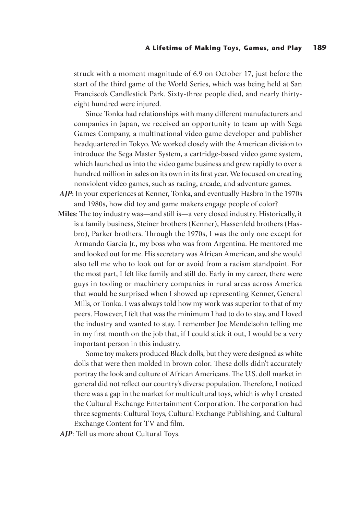struck with a moment magnitude of 6.9 on October 17, just before the start of the third game of the World Series, which was being held at San Francisco's Candlestick Park. Sixty-three people died, and nearly thirtyeight hundred were injured.

 Since Tonka had relationships with many different manufacturers and companies in Japan, we received an opportunity to team up with Sega Games Company, a multinational video game developer and publisher headquartered in Tokyo. We worked closely with the American division to introduce the Sega Master System, a cartridge-based video game system, which launched us into the video game business and grew rapidly to over a hundred million in sales on its own in its first year. We focused on creating nonviolent video games, such as racing, arcade, and adventure games.

- *AJP*: In your experiences at Kenner, Tonka, and eventually Hasbro in the 1970s and 1980s, how did toy and game makers engage people of color?
- **Miles**: The toy industry was—and still is—a very closed industry. Historically, it is a family business, Steiner brothers (Kenner), Hassenfeld brothers (Hasbro), Parker brothers. Through the 1970s, I was the only one except for Armando Garcia Jr., my boss who was from Argentina. He mentored me and looked out for me. His secretary was African American, and she would also tell me who to look out for or avoid from a racism standpoint. For the most part, I felt like family and still do. Early in my career, there were guys in tooling or machinery companies in rural areas across America that would be surprised when I showed up representing Kenner, General Mills, or Tonka. I was always told how my work was superior to that of my peers. However, I felt that was the minimum I had to do to stay, and I loved the industry and wanted to stay. I remember Joe Mendelsohn telling me in my first month on the job that, if I could stick it out, I would be a very important person in this industry.

 Some toy makers produced Black dolls, but they were designed as white dolls that were then molded in brown color. These dolls didn't accurately portray the look and culture of African Americans. The U.S. doll market in general did not reflect our country's diverse population. Therefore, I noticed there was a gap in the market for multicultural toys, which is why I created the Cultural Exchange Entertainment Corporation. The corporation had three segments: Cultural Toys, Cultural Exchange Publishing, and Cultural Exchange Content for TV and film.

*AJP*: Tell us more about Cultural Toys.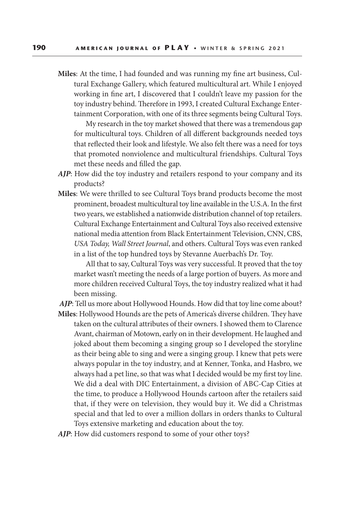**Miles**: At the time, I had founded and was running my fine art business, Cultural Exchange Gallery, which featured multicultural art. While I enjoyed working in fine art, I discovered that I couldn't leave my passion for the toy industry behind. Therefore in 1993, I created Cultural Exchange Entertainment Corporation, with one of its three segments being Cultural Toys.

 My research in the toy market showed that there was a tremendous gap for multicultural toys. Children of all different backgrounds needed toys that reflected their look and lifestyle. We also felt there was a need for toys that promoted nonviolence and multicultural friendships. Cultural Toys met these needs and filled the gap.

- *AJP*: How did the toy industry and retailers respond to your company and its products?
- **Miles**: We were thrilled to see Cultural Toys brand products become the most prominent, broadest multicultural toy line available in the U.S.A. In the first two years, we established a nationwide distribution channel of top retailers. Cultural Exchange Entertainment and Cultural Toys also received extensive national media attention from Black Entertainment Television, CNN, CBS, *USA Today, Wall Street Journal*, and others. Cultural Toys was even ranked in a list of the top hundred toys by Stevanne Auerbach's Dr. Toy.

 All that to say, Cultural Toys was very successful. It proved that the toy market wasn't meeting the needs of a large portion of buyers. As more and more children received Cultural Toys, the toy industry realized what it had been missing.

*AJP*: Tell us more about Hollywood Hounds. How did that toy line come about? **Miles**: Hollywood Hounds are the pets of America's diverse children. They have taken on the cultural attributes of their owners. I showed them to Clarence Avant, chairman of Motown, early on in their development. He laughed and joked about them becoming a singing group so I developed the storyline as their being able to sing and were a singing group. I knew that pets were always popular in the toy industry, and at Kenner, Tonka, and Hasbro, we always had a pet line, so that was what I decided would be my first toy line. We did a deal with DIC Entertainment, a division of ABC-Cap Cities at the time, to produce a Hollywood Hounds cartoon after the retailers said that, if they were on television, they would buy it. We did a Christmas special and that led to over a million dollars in orders thanks to Cultural Toys extensive marketing and education about the toy.

*AJP*: How did customers respond to some of your other toys?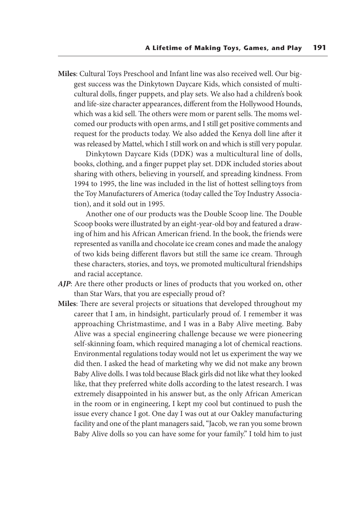**Miles**: Cultural Toys Preschool and Infant line was also received well. Our biggest success was the Dinkytown Daycare Kids, which consisted of multicultural dolls, finger puppets, and play sets. We also had a children's book and life-size character appearances, different from the Hollywood Hounds, which was a kid sell. The others were mom or parent sells. The moms welcomed our products with open arms, and I still get positive comments and request for the products today. We also added the Kenya doll line after it was released by Mattel, which I still work on and which is still very popular.

 Dinkytown Daycare Kids (DDK) was a multicultural line of dolls, books, clothing, and a finger puppet play set. DDK included stories about sharing with others, believing in yourself, and spreading kindness. From 1994 to 1995, the line was included in the list of hottest selling toys from the Toy Manufacturers of America (today called the Toy Industry Association), and it sold out in 1995.

 Another one of our products was the Double Scoop line. The Double Scoop books were illustrated by an eight-year-old boy and featured a drawing of him and his African American friend. In the book, the friends were represented as vanilla and chocolate ice cream cones and made the analogy of two kids being different flavors but still the same ice cream. Through these characters, stories, and toys, we promoted multicultural friendships and racial acceptance.

- *AJP*: Are there other products or lines of products that you worked on, other than Star Wars, that you are especially proud of?
- **Miles**: There are several projects or situations that developed throughout my career that I am, in hindsight, particularly proud of. I remember it was approaching Christmastime, and I was in a Baby Alive meeting. Baby Alive was a special engineering challenge because we were pioneering self-skinning foam, which required managing a lot of chemical reactions. Environmental regulations today would not let us experiment the way we did then. I asked the head of marketing why we did not make any brown Baby Alive dolls. I was told because Black girls did not like what they looked like, that they preferred white dolls according to the latest research. I was extremely disappointed in his answer but, as the only African American in the room or in engineering, I kept my cool but continued to push the issue every chance I got. One day I was out at our Oakley manufacturing facility and one of the plant managers said, "Jacob, we ran you some brown Baby Alive dolls so you can have some for your family." I told him to just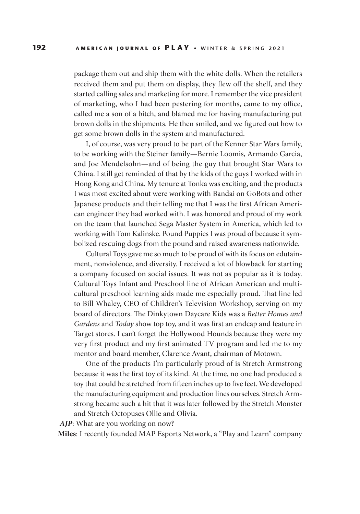package them out and ship them with the white dolls. When the retailers received them and put them on display, they flew off the shelf, and they started calling sales and marketing for more. I remember the vice president of marketing, who I had been pestering for months, came to my office, called me a son of a bitch, and blamed me for having manufacturing put brown dolls in the shipments. He then smiled, and we figured out how to get some brown dolls in the system and manufactured.

 I, of course, was very proud to be part of the Kenner Star Wars family, to be working with the Steiner family—Bernie Loomis, Armando Garcia, and Joe Mendelsohn—and of being the guy that brought Star Wars to China. I still get reminded of that by the kids of the guys I worked with in Hong Kong and China. My tenure at Tonka was exciting, and the products I was most excited about were working with Bandai on GoBots and other Japanese products and their telling me that I was the first African American engineer they had worked with. I was honored and proud of my work on the team that launched Sega Master System in America, which led to working with Tom Kalinske. Pound Puppies I was proud of because it symbolized rescuing dogs from the pound and raised awareness nationwide.

 Cultural Toys gave me so much to be proud of with its focus on edutainment, nonviolence, and diversity. I received a lot of blowback for starting a company focused on social issues. It was not as popular as it is today. Cultural Toys Infant and Preschool line of African American and multicultural preschool learning aids made me especially proud. That line led to Bill Whaley, CEO of Children's Television Workshop, serving on my board of directors. The Dinkytown Daycare Kids was a *Better Homes and Gardens* and *Today* show top toy, and it was first an endcap and feature in Target stores. I can't forget the Hollywood Hounds because they were my very first product and my first animated TV program and led me to my mentor and board member, Clarence Avant, chairman of Motown.

 One of the products I'm particularly proud of is Stretch Armstrong because it was the first toy of its kind. At the time, no one had produced a toy that could be stretched from fifteen inches up to five feet. We developed the manufacturing equipment and production lines ourselves. Stretch Armstrong became such a hit that it was later followed by the Stretch Monster and Stretch Octopuses Ollie and Olivia.

*AJP*: What are you working on now?

**Miles**: I recently founded MAP Esports Network, a "Play and Learn" company